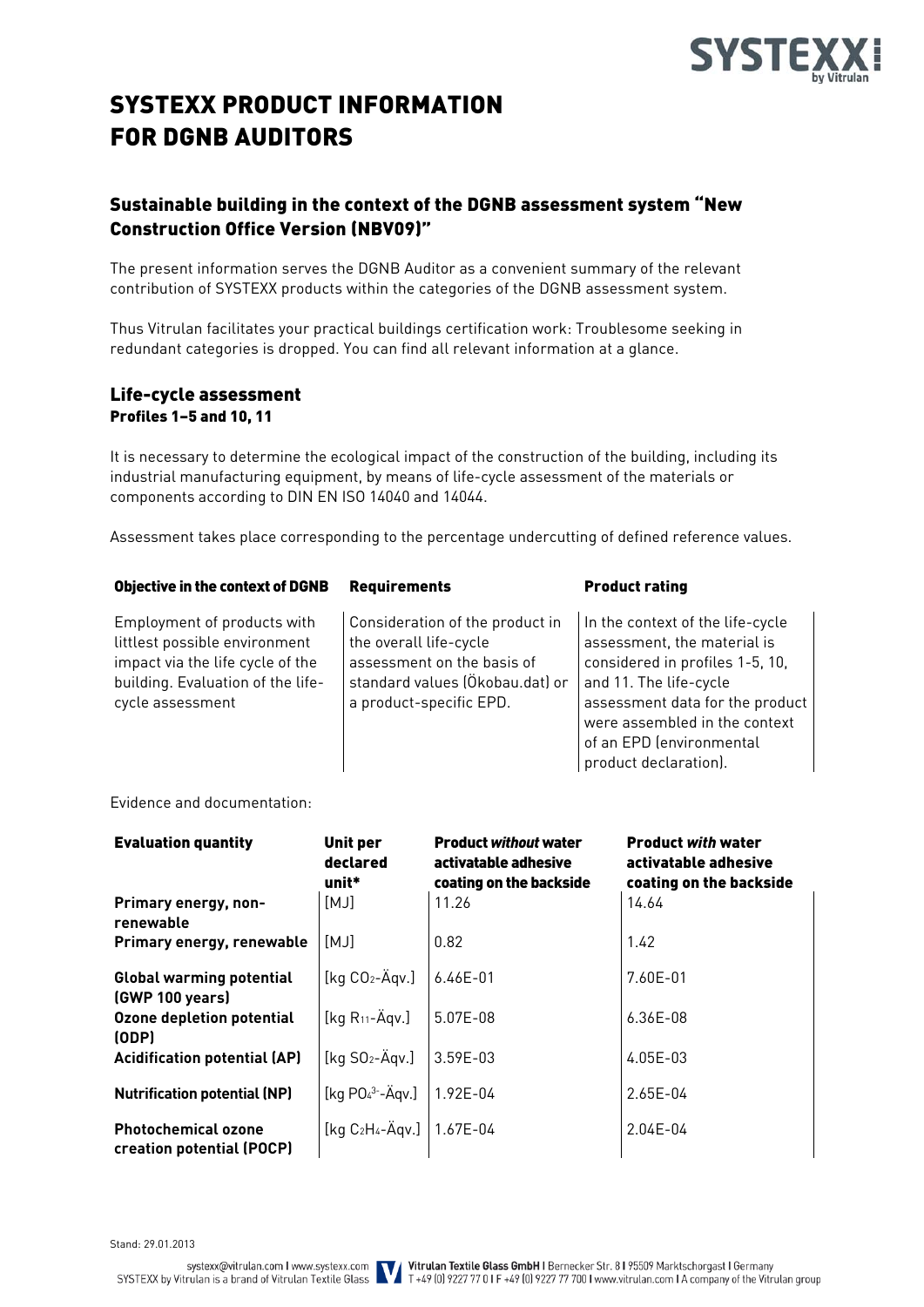

# SYSTEXX PRODUCT INFORMATION FOR DGNB AUDITORS

# Sustainable building in the context of the DGNB assessment system "New Construction Office Version (NBV09)"

The present information serves the DGNB Auditor as a convenient summary of the relevant contribution of SYSTEXX products within the categories of the DGNB assessment system.

Thus Vitrulan facilitates your practical buildings certification work: Troublesome seeking in redundant categories is dropped. You can find all relevant information at a glance.

### Life-cycle assessment Profiles 1–5 and 10, 11

It is necessary to determine the ecological impact of the construction of the building, including its industrial manufacturing equipment, by means of life-cycle assessment of the materials or components according to DIN EN ISO 14040 and 14044.

Assessment takes place corresponding to the percentage undercutting of defined reference values.

#### Objective in the context of DGNB Requirements Product rating

Employment of products with littlest possible environment impact via the life cycle of the building. Evaluation of the lifecycle assessment

Consideration of the product in the overall life-cycle assessment on the basis of standard values (Ökobau.dat) or a product-specific EPD.

In the context of the life-cycle assessment, the material is considered in profiles 1-5, 10, and 11. The life-cycle assessment data for the product were assembled in the context of an EPD (environmental product declaration).

Evidence and documentation:

| <b>Evaluation quantity</b>                              | <b>Unit per</b><br>declared<br>unit*             | <b>Product without water</b><br>activatable adhesive<br>coating on the backside | <b>Product with water</b><br>activatable adhesive<br>coating on the backside |
|---------------------------------------------------------|--------------------------------------------------|---------------------------------------------------------------------------------|------------------------------------------------------------------------------|
| Primary energy, non-<br>renewable                       | [MJ]                                             | 11.26                                                                           | 14.64                                                                        |
| Primary energy, renewable                               | [MJ]                                             | 0.82                                                                            | 1.42                                                                         |
| <b>Global warming potential</b><br>(GWP 100 years)      | [kg $CO2$ -Ägv.]                                 | $6.46E - 01$                                                                    | 7.60E-01                                                                     |
| Ozone depletion potential<br>(ODP)                      | [kg $R_{11}$ -Ägv.]                              | 5.07E-08                                                                        | $6.36E-08$                                                                   |
| <b>Acidification potential (AP)</b>                     | [kq SO <sub>2</sub> –Äqv.]                       | 3.59E-03                                                                        | $4.05E-03$                                                                   |
| <b>Nutrification potential (NP)</b>                     | [kg $PO43-Ågv.]$                                 | 1.92E-04                                                                        | $2.65E - 04$                                                                 |
| <b>Photochemical ozone</b><br>creation potential (POCP) | $\left[$ kg C <sub>2</sub> H <sub>4</sub> -Ägv.] | 1.67E-04                                                                        | $2.04E - 04$                                                                 |

Stand: 29.01.2013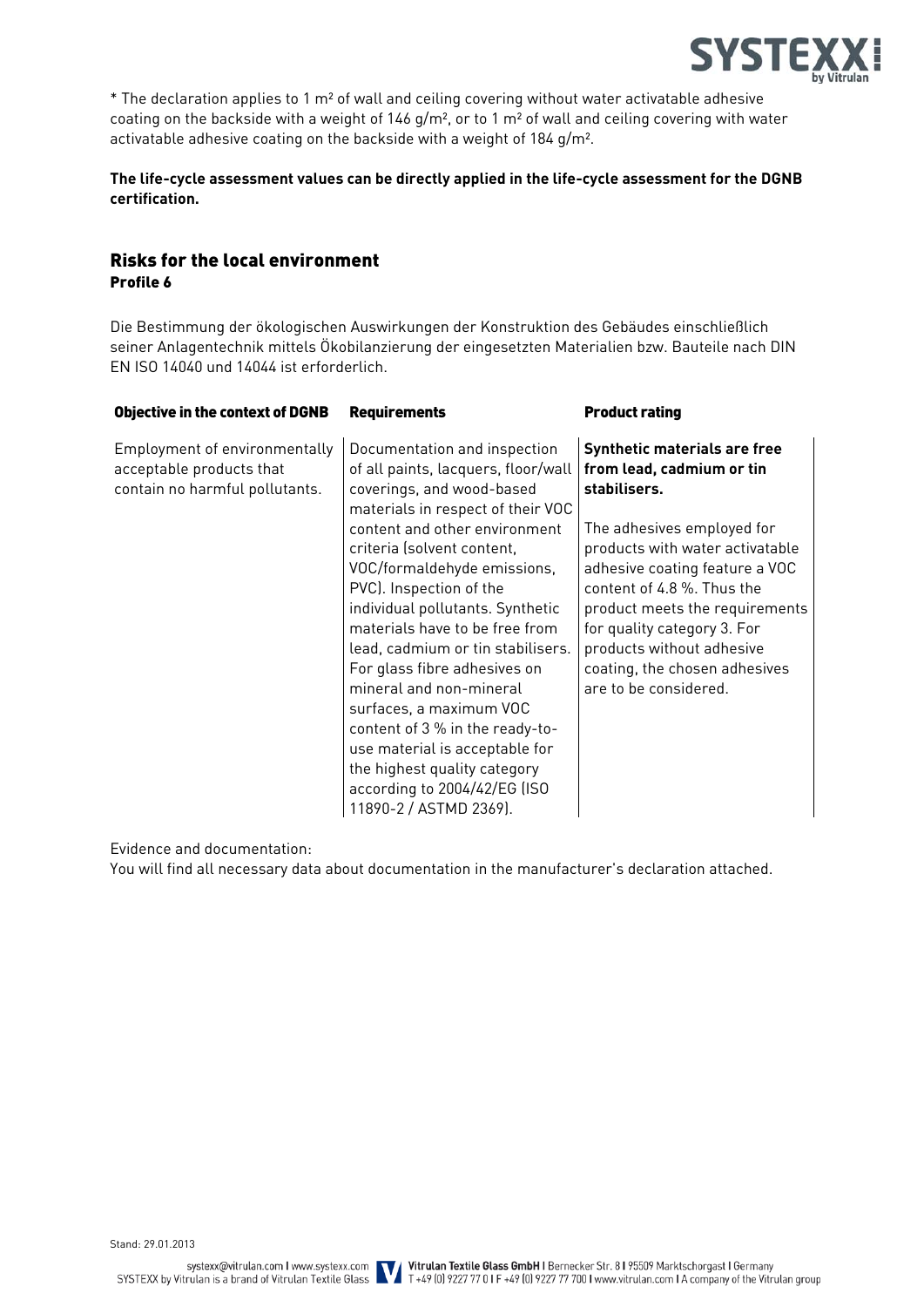

\* The declaration applies to 1 m² of wall and ceiling covering without water activatable adhesive coating on the backside with a weight of 146 g/m<sup>2</sup>, or to 1 m<sup>2</sup> of wall and ceiling covering with water activatable adhesive coating on the backside with a weight of 184 g/m².

#### **The life-cycle assessment values can be directly applied in the life-cycle assessment for the DGNB certification.**

# Risks for the local environment Profile 6

Die Bestimmung der ökologischen Auswirkungen der Konstruktion des Gebäudes einschließlich seiner Anlagentechnik mittels Ökobilanzierung der eingesetzten Materialien bzw. Bauteile nach DIN EN ISO 14040 und 14044 ist erforderlich.

| <b>Requirements</b>                                                                                                                   | <b>Product rating</b>                                                                                            |
|---------------------------------------------------------------------------------------------------------------------------------------|------------------------------------------------------------------------------------------------------------------|
| Documentation and inspection<br>of all paints, lacquers, floor/wall<br>coverings, and wood-based<br>materials in respect of their VOC | Synthetic materials are free<br>from lead, cadmium or tin<br>stabilisers.                                        |
| content and other environment<br>criteria (solvent content,                                                                           | The adhesives employed for<br>products with water activatable<br>adhesive coating feature a VOC                  |
| PVC). Inspection of the<br>individual pollutants. Synthetic                                                                           | content of 4.8 %. Thus the<br>product meets the requirements                                                     |
| materials have to be free from<br>lead, cadmium or tin stabilisers.                                                                   | for quality category 3. For<br>products without adhesive                                                         |
| mineral and non-mineral                                                                                                               | coating, the chosen adhesives<br>are to be considered.                                                           |
| content of 3 % in the ready-to-<br>use material is acceptable for                                                                     |                                                                                                                  |
| the highest quality category<br>according to 2004/42/EG (ISO                                                                          |                                                                                                                  |
|                                                                                                                                       | VOC/formaldehyde emissions,<br>For glass fibre adhesives on<br>surfaces, a maximum VOC<br>11890-2 / ASTMD 2369). |

Evidence and documentation:

You will find all necessary data about documentation in the manufacturer's declaration attached.

Stand: 29.01.2013

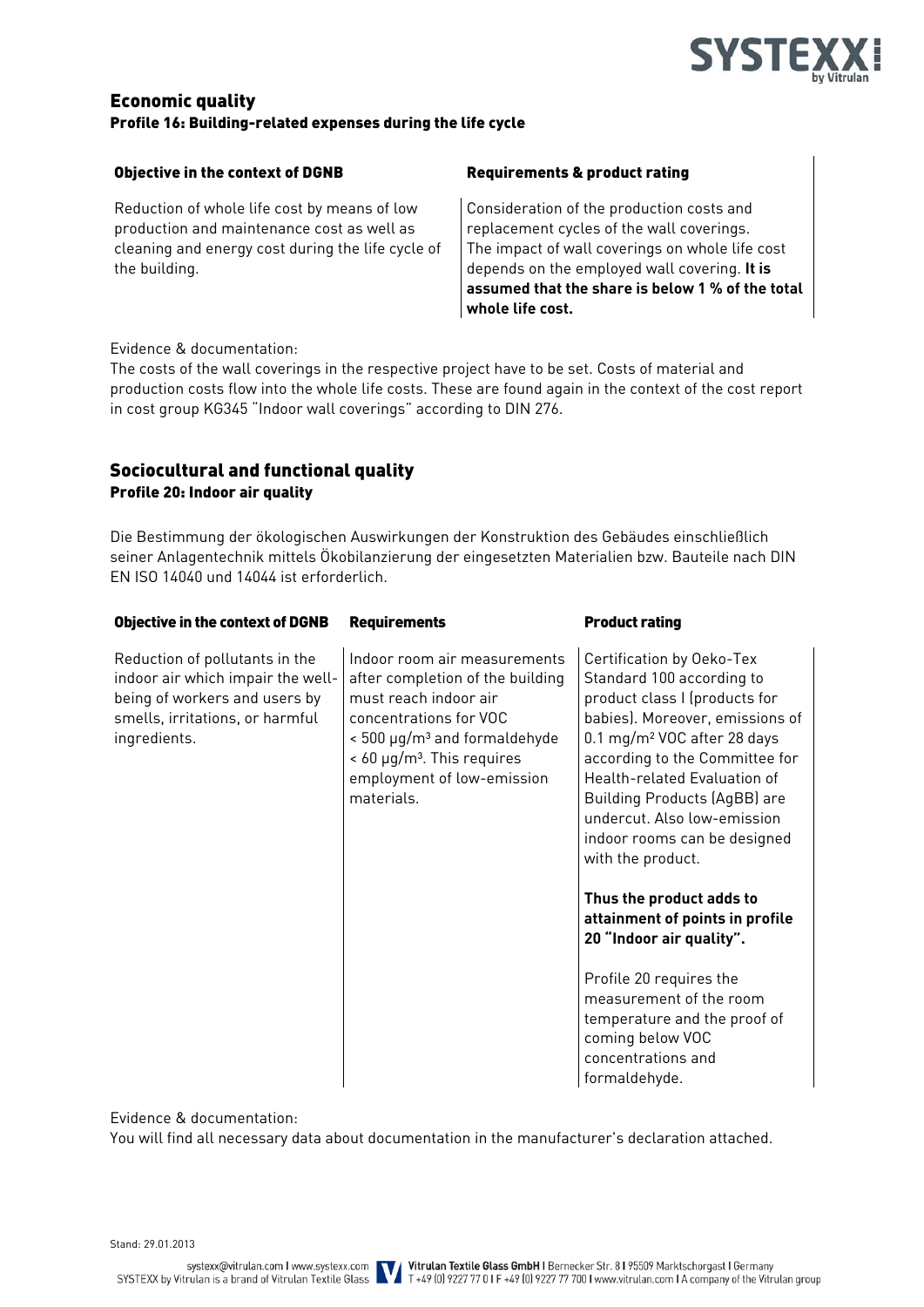

### Economic quality Profile 16: Building-related expenses during the life cycle

#### Objective in the context of DGNB Requirements & product rating

Reduction of whole life cost by means of low production and maintenance cost as well as cleaning and energy cost during the life cycle of the building.

Consideration of the production costs and replacement cycles of the wall coverings. The impact of wall coverings on whole life cost depends on the employed wall covering. **It is assumed that the share is below 1 % of the total whole life cost.**

#### Evidence & documentation:

The costs of the wall coverings in the respective project have to be set. Costs of material and production costs flow into the whole life costs. These are found again in the context of the cost report in cost group KG345 "Indoor wall coverings" according to DIN 276.

# Sociocultural and functional quality Profile 20: Indoor air quality

Die Bestimmung der ökologischen Auswirkungen der Konstruktion des Gebäudes einschließlich seiner Anlagentechnik mittels Ökobilanzierung der eingesetzten Materialien bzw. Bauteile nach DIN EN ISO 14040 und 14044 ist erforderlich.

| <b>Objective in the context of DGNB</b>                                                                                                                 | <b>Requirements</b>                                                                                                                                                                                                                            | <b>Product rating</b>                                                                                                                                                                                                                                                                                                                                              |
|---------------------------------------------------------------------------------------------------------------------------------------------------------|------------------------------------------------------------------------------------------------------------------------------------------------------------------------------------------------------------------------------------------------|--------------------------------------------------------------------------------------------------------------------------------------------------------------------------------------------------------------------------------------------------------------------------------------------------------------------------------------------------------------------|
| Reduction of pollutants in the<br>indoor air which impair the well-<br>being of workers and users by<br>smells, irritations, or harmful<br>ingredients. | Indoor room air measurements<br>after completion of the building<br>must reach indoor air<br>concentrations for VOC<br>< 500 μg/m <sup>3</sup> and formaldehyde<br>$< 60 \mu g/m3$ . This requires<br>employment of low-emission<br>materials. | Certification by Oeko-Tex<br>Standard 100 according to<br>product class I (products for<br>babies). Moreover, emissions of<br>0.1 mg/m <sup>2</sup> VOC after 28 days<br>according to the Committee for<br>Health-related Evaluation of<br><b>Building Products (AgBB) are</b><br>undercut. Also low-emission<br>indoor rooms can be designed<br>with the product. |
|                                                                                                                                                         |                                                                                                                                                                                                                                                | Thus the product adds to<br>attainment of points in profile<br>20 "Indoor air quality".                                                                                                                                                                                                                                                                            |
|                                                                                                                                                         |                                                                                                                                                                                                                                                | Profile 20 requires the<br>measurement of the room<br>temperature and the proof of<br>coming below VOC<br>concentrations and<br>formaldehyde.                                                                                                                                                                                                                      |

Evidence & documentation:

You will find all necessary data about documentation in the manufacturer's declaration attached.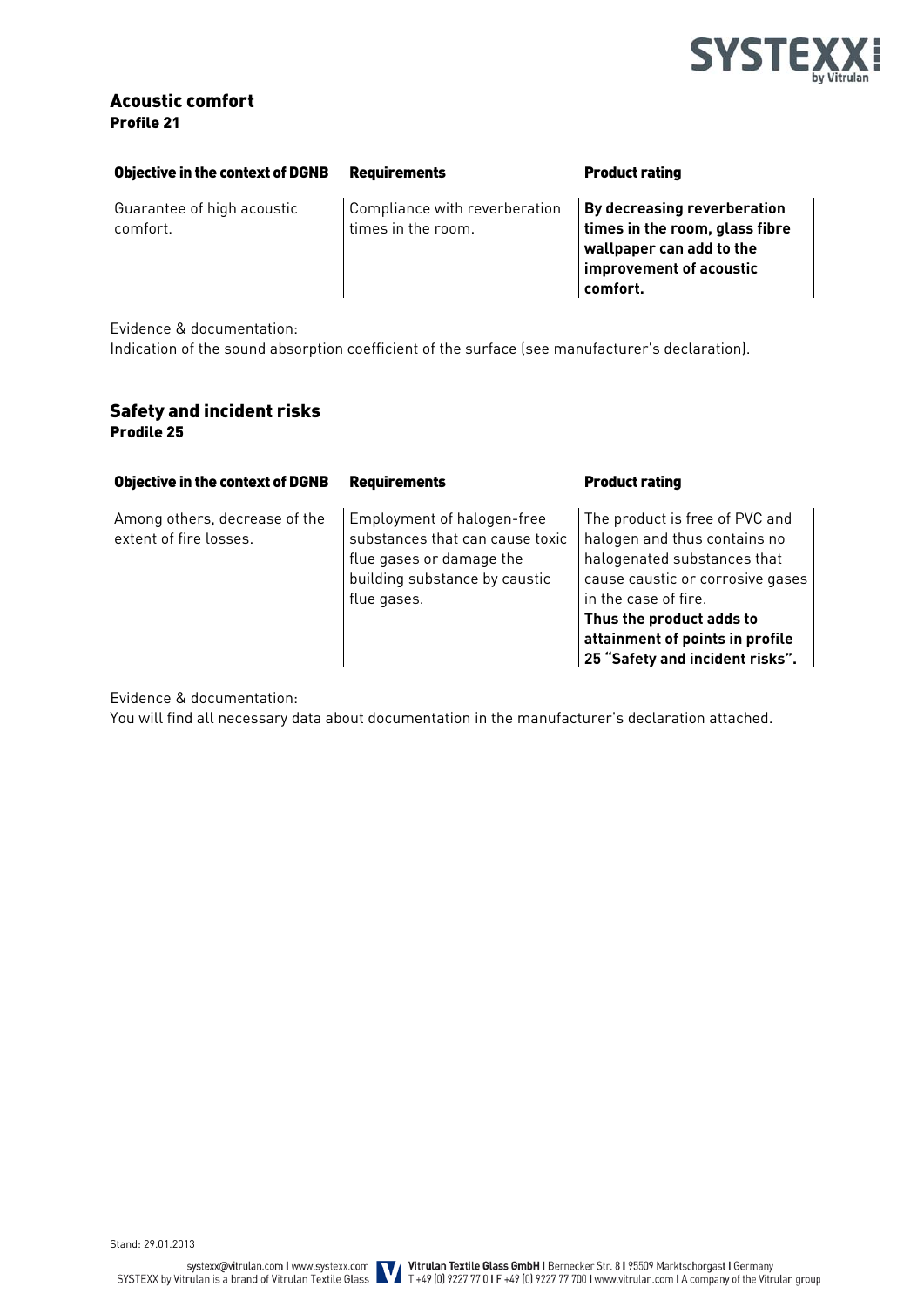

# Acoustic comfort Profile 21

| <b>Objective in the context of DGNB</b> | <b>Requirements</b>                                 | <b>Product rating</b>                                                                                                                   |
|-----------------------------------------|-----------------------------------------------------|-----------------------------------------------------------------------------------------------------------------------------------------|
| Guarantee of high acoustic<br>comfort.  | Compliance with reverberation<br>times in the room. | <b>By decreasing reverberation</b><br>times in the room, glass fibre<br>wallpaper can add to the<br>improvement of acoustic<br>comfort. |

Evidence & documentation:

Indication of the sound absorption coefficient of the surface (see manufacturer's declaration).

### Safety and incident risks Prodile 25

| <b>Objective in the context of DGNB</b>                 | <b>Requirements</b>                                                                                                                       | <b>Product rating</b>                                                                                                                                                                                                                                       |
|---------------------------------------------------------|-------------------------------------------------------------------------------------------------------------------------------------------|-------------------------------------------------------------------------------------------------------------------------------------------------------------------------------------------------------------------------------------------------------------|
| Among others, decrease of the<br>extent of fire losses. | Employment of halogen-free<br>substances that can cause toxic<br>flue gases or damage the<br>building substance by caustic<br>flue gases. | The product is free of PVC and<br>halogen and thus contains no<br>halogenated substances that<br>cause caustic or corrosive gases<br>in the case of fire.<br>Thus the product adds to<br>attainment of points in profile<br>25 "Safety and incident risks". |

Evidence & documentation:

You will find all necessary data about documentation in the manufacturer's declaration attached.

Stand: 29.01.2013